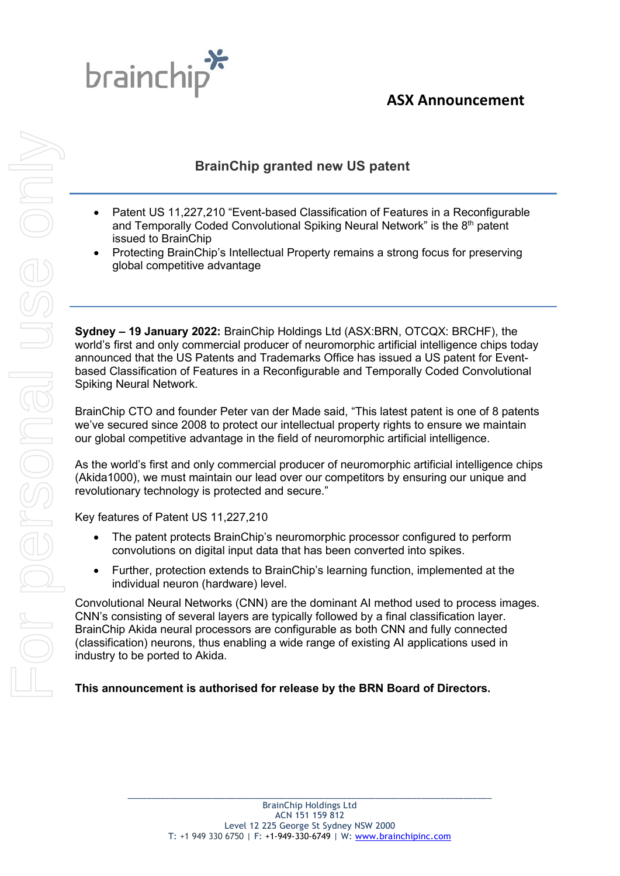



## **BrainChip granted new US patent**

- Patent US 11,227,210 "Event-based Classification of Features in a Reconfigurable and Temporally Coded Convolutional Spiking Neural Network" is the 8<sup>th</sup> patent issued to BrainChip
- Protecting BrainChip's Intellectual Property remains a strong focus for preserving global competitive advantage

**Sydney – 19 January 2022:** BrainChip Holdings Ltd (ASX:BRN, OTCQX: BRCHF), the world's first and only commercial producer of neuromorphic artificial intelligence chips today announced that the US Patents and Trademarks Office has issued a US patent for Eventbased Classification of Features in a Reconfigurable and Temporally Coded Convolutional Spiking Neural Network.

BrainChip CTO and founder Peter van der Made said, "This latest patent is one of 8 patents we've secured since 2008 to protect our intellectual property rights to ensure we maintain our global competitive advantage in the field of neuromorphic artificial intelligence.

As the world's first and only commercial producer of neuromorphic artificial intelligence chips (Akida1000), we must maintain our lead over our competitors by ensuring our unique and revolutionary technology is protected and secure."

Key features of Patent US 11,227,210

- The patent protects BrainChip's neuromorphic processor configured to perform convolutions on digital input data that has been converted into spikes.
- Further, protection extends to BrainChip's learning function, implemented at the individual neuron (hardware) level.

Convolutional Neural Networks (CNN) are the dominant AI method used to process images. CNN's consisting of several layers are typically followed by a final classification layer. BrainChip Akida neural processors are configurable as both CNN and fully connected (classification) neurons, thus enabling a wide range of existing AI applications used in industry to be ported to Akida.

## **This announcement is authorised for release by the BRN Board of Directors.**

\_\_\_\_\_\_\_\_\_\_\_\_\_\_\_\_\_\_\_\_\_\_\_\_\_\_\_\_\_\_\_\_\_\_\_\_\_\_\_\_\_\_\_\_\_\_\_\_\_\_\_\_\_\_\_\_\_\_\_\_\_\_\_\_\_\_\_\_\_\_\_\_\_\_\_\_\_\_